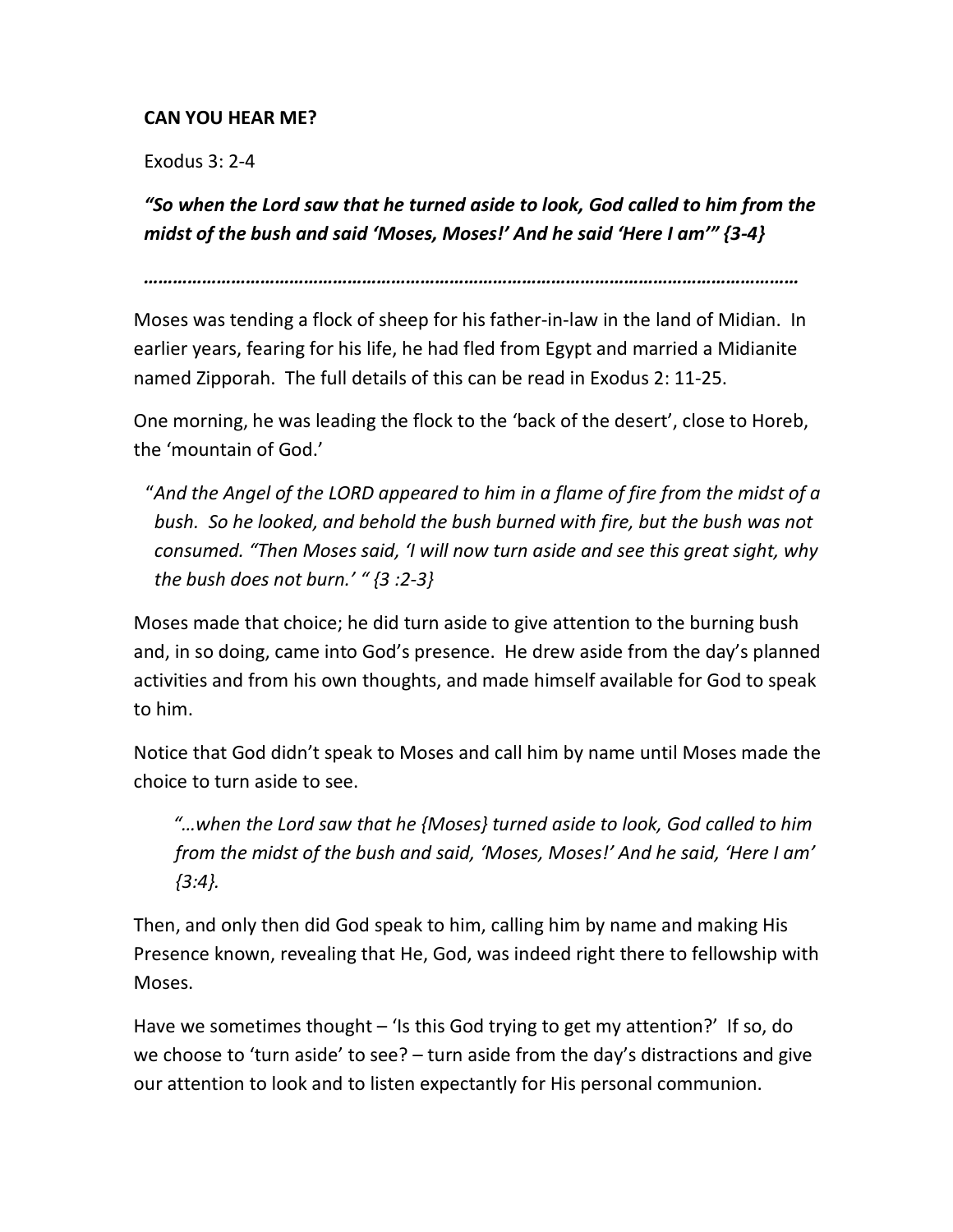## CAN YOU HEAR ME?

Exodus 3: 2-4

"So when the Lord saw that he turned aside to look, God called to him from the midst of the bush and said 'Moses, Moses!' And he said 'Here I am'" {3-4}

………………………………………………………………………………………………………………………

Moses was tending a flock of sheep for his father-in-law in the land of Midian. In earlier years, fearing for his life, he had fled from Egypt and married a Midianite named Zipporah. The full details of this can be read in Exodus 2: 11-25.

One morning, he was leading the flock to the 'back of the desert', close to Horeb, the 'mountain of God.'

 "And the Angel of the LORD appeared to him in a flame of fire from the midst of a bush. So he looked, and behold the bush burned with fire, but the bush was not consumed. "Then Moses said, 'I will now turn aside and see this great sight, why the bush does not burn.' " $\{3:2-3\}$ 

Moses made that choice; he did turn aside to give attention to the burning bush and, in so doing, came into God's presence. He drew aside from the day's planned activities and from his own thoughts, and made himself available for God to speak to him.

Notice that God didn't speak to Moses and call him by name until Moses made the choice to turn aside to see.

 "…when the Lord saw that he {Moses} turned aside to look, God called to him from the midst of the bush and said, 'Moses, Moses!' And he said, 'Here I am'  ${3:4}.$ 

Then, and only then did God speak to him, calling him by name and making His Presence known, revealing that He, God, was indeed right there to fellowship with Moses.

Have we sometimes thought – 'Is this God trying to get my attention?' If so, do we choose to 'turn aside' to see? – turn aside from the day's distractions and give our attention to look and to listen expectantly for His personal communion.